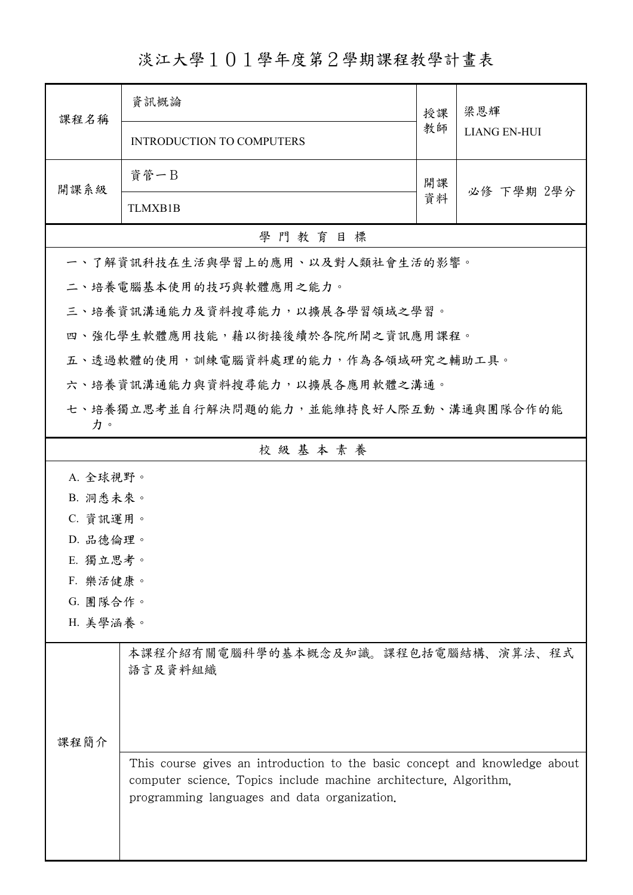淡江大學101學年度第2學期課程教學計畫表

| 課程名稱                                          | 資訊概論                                                                                                                                                                                            | 授課 | 梁恩輝<br><b>LIANG EN-HUI</b> |  |
|-----------------------------------------------|-------------------------------------------------------------------------------------------------------------------------------------------------------------------------------------------------|----|----------------------------|--|
|                                               | <b>INTRODUCTION TO COMPUTERS</b>                                                                                                                                                                | 教師 |                            |  |
| 開課系級                                          | 資管一B                                                                                                                                                                                            | 開課 | 必修 下學期 2學分                 |  |
|                                               | <b>TLMXB1B</b>                                                                                                                                                                                  | 資料 |                            |  |
|                                               | 學門教育目標                                                                                                                                                                                          |    |                            |  |
|                                               | 一、了解資訊科技在生活與學習上的應用、以及對人類社會生活的影響。                                                                                                                                                                |    |                            |  |
|                                               | 二、培養電腦基本使用的技巧與軟體應用之能力。                                                                                                                                                                          |    |                            |  |
|                                               | 三、培養資訊溝通能力及資料搜尋能力,以擴展各學習領域之學習。                                                                                                                                                                  |    |                            |  |
|                                               | 四、強化學生軟體應用技能,藉以銜接後續於各院所開之資訊應用課程。                                                                                                                                                                |    |                            |  |
|                                               | 五、透過軟體的使用,訓練電腦資料處理的能力,作為各領域研究之輔助工具。                                                                                                                                                             |    |                            |  |
| 六、培養資訊溝通能力與資料搜尋能力,以擴展各應用軟體之溝通。                |                                                                                                                                                                                                 |    |                            |  |
| 七、培養獨立思考並自行解決問題的能力,並能維持良好人際互動、溝通與團隊合作的能<br>力。 |                                                                                                                                                                                                 |    |                            |  |
| 校級基本素養                                        |                                                                                                                                                                                                 |    |                            |  |
| A. 全球視野。                                      |                                                                                                                                                                                                 |    |                            |  |
| B. 洞悉未來。                                      |                                                                                                                                                                                                 |    |                            |  |
| C. 資訊運用。                                      |                                                                                                                                                                                                 |    |                            |  |
| D. 品德倫理。                                      |                                                                                                                                                                                                 |    |                            |  |
| E. 獨立思考。                                      |                                                                                                                                                                                                 |    |                            |  |
| F. 樂活健康。<br>G. 團隊合作。                          |                                                                                                                                                                                                 |    |                            |  |
| H. 美學涵養。                                      |                                                                                                                                                                                                 |    |                            |  |
| 课程简介                                          | 本課程介紹有關電腦科學的基本概念及知識。課程包括電腦結構、演算法、程式<br>語言及資料組織                                                                                                                                                  |    |                            |  |
|                                               | This course gives an introduction to the basic concept and knowledge about<br>computer science. Topics include machine architecture, Algorithm,<br>programming languages and data organization. |    |                            |  |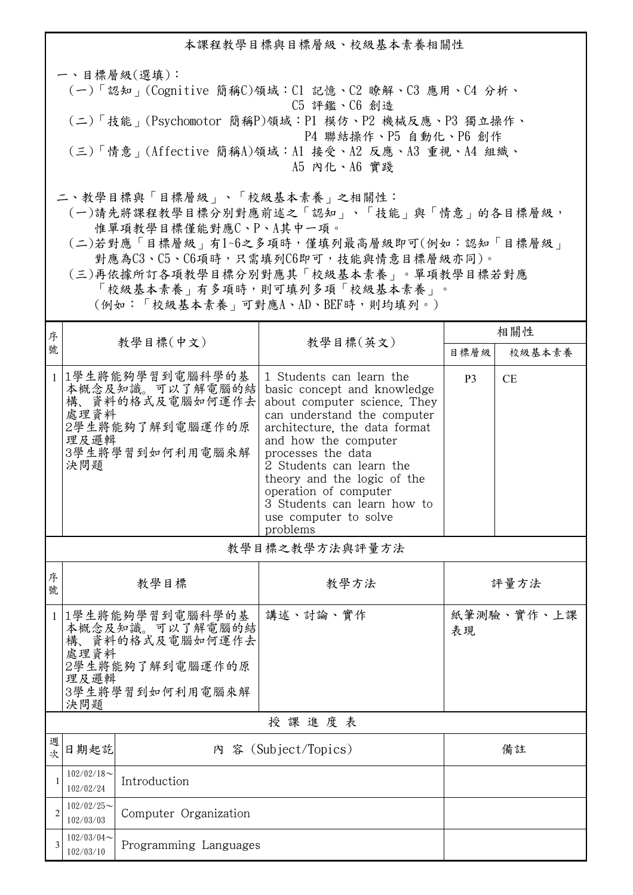本課程教學目標與目標層級、校級基本素養相關性 一、目標層級(選填): (一)「認知」(Cognitive 簡稱C)領域:C1 記憶、C2 瞭解、C3 應用、C4 分析、 C5 評鑑、C6 創造 (二)「技能」(Psychomotor 簡稱P)領域:P1 模仿、P2 機械反應、P3 獨立操作、 P4 聯結操作、P5 自動化、P6 創作 (三)「情意」(Affective 簡稱A)領域:A1 接受、A2 反應、A3 重視、A4 組織、 A5 內化、A6 實踐 二、教學目標與「目標層級」、「校級基本素養」之相關性: (一)請先將課程教學目標分別對應前述之「認知」、「技能」與「情意」的各目標層級,

惟單項教學目標僅能對應C、P、A其中一項。

 (二)若對應「目標層級」有1~6之多項時,僅填列最高層級即可(例如:認知「目標層級」 對應為C3、C5、C6項時,只需填列C6即可,技能與情意目標層級亦同)。

 (三)再依據所訂各項教學目標分別對應其「校級基本素養」。單項教學目標若對應 「校級基本素養」有多項時,則可填列多項「校級基本素養」。

(例如:「校級基本素養」可對應A、AD、BEF時,則均填列。)

| 序              |                                                                                                                    |                                                                                             |                                                                                                                                                                                                                                                                                                                                                               | 相關性            |            |  |  |
|----------------|--------------------------------------------------------------------------------------------------------------------|---------------------------------------------------------------------------------------------|---------------------------------------------------------------------------------------------------------------------------------------------------------------------------------------------------------------------------------------------------------------------------------------------------------------------------------------------------------------|----------------|------------|--|--|
| 號              |                                                                                                                    | 教學目標(中文)                                                                                    | 教學目標(英文)                                                                                                                                                                                                                                                                                                                                                      | 目標層級           | 校級基本素養     |  |  |
| $\mathbf{1}$   | 處理資料<br>理及邏輯<br>決問題                                                                                                | 1學生將能夠學習到電腦科學的基<br>本概念及知識。可以了解電腦的結<br>構、資料的格式及電腦如何運作去<br>2學生將能夠了解到電腦運作的原<br>3學生將學習到如何利用電腦來解 | 1 Students can learn the<br>basic concept and knowledge<br>about computer science. They<br>can understand the computer<br>architecture, the data format<br>and how the computer<br>processes the data<br>2 Students can learn the<br>theory and the logic of the<br>operation of computer<br>3 Students can learn how to<br>use computer to solve<br>problems | P <sub>3</sub> | <b>CE</b>  |  |  |
|                | 教學目標之教學方法與評量方法                                                                                                     |                                                                                             |                                                                                                                                                                                                                                                                                                                                                               |                |            |  |  |
| 序<br>號         | 教學目標                                                                                                               |                                                                                             | 教學方法                                                                                                                                                                                                                                                                                                                                                          | 評量方法           |            |  |  |
| 1              | 1學生將能夠學習到電腦科學的基<br>本概念及知識。可以了解電腦的結<br>構、資料的格式及電腦如何運作去<br>處理資料<br>2學生將能夠了解到電腦運作的原<br>理及邏輯<br>3學生將學習到如何利用電腦來解<br>決問題 |                                                                                             | 講述、討論、實作                                                                                                                                                                                                                                                                                                                                                      | 表現             | 紙筆測驗、實作、上課 |  |  |
| 授課進度表          |                                                                                                                    |                                                                                             |                                                                                                                                                                                                                                                                                                                                                               |                |            |  |  |
| 週<br>次         | 日期起訖                                                                                                               |                                                                                             | 內 容 (Subject/Topics)                                                                                                                                                                                                                                                                                                                                          | 備註             |            |  |  |
| 1              | $102/02/18$ ~<br>102/02/24                                                                                         | Introduction                                                                                |                                                                                                                                                                                                                                                                                                                                                               |                |            |  |  |
| $\overline{c}$ | $102/02/25$ ~<br>102/03/03                                                                                         | Computer Organization                                                                       |                                                                                                                                                                                                                                                                                                                                                               |                |            |  |  |
| 3              | $102/03/04$ ~<br>102/03/10                                                                                         | Programming Languages                                                                       |                                                                                                                                                                                                                                                                                                                                                               |                |            |  |  |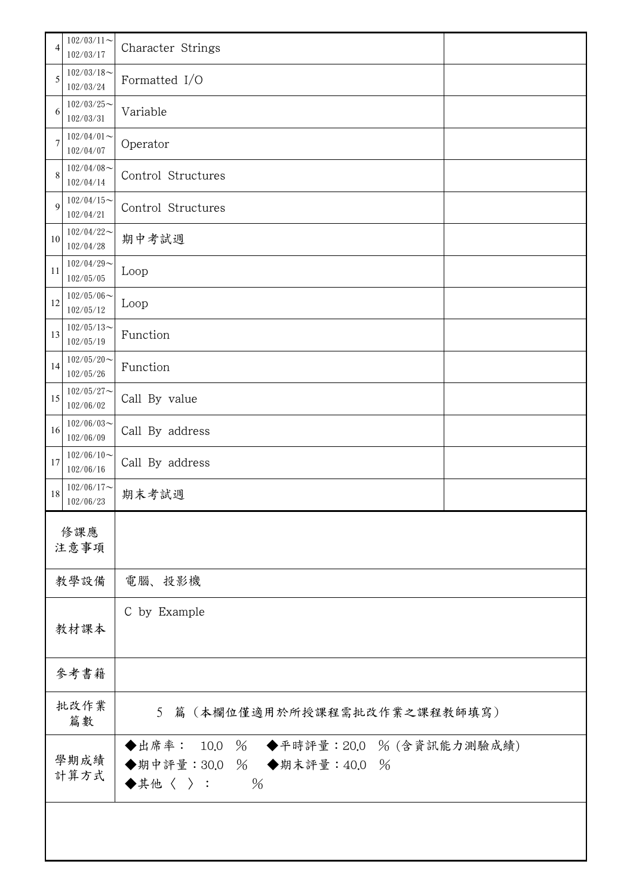| 4            | $102/03/11$ ~<br>102/03/17 | Character Strings                                                                |  |
|--------------|----------------------------|----------------------------------------------------------------------------------|--|
| 5            | $102/03/18$ ~<br>102/03/24 | Formatted I/O                                                                    |  |
| 6            | $102/03/25$ ~<br>102/03/31 | Variable                                                                         |  |
| 7            | $102/04/01$ ~<br>102/04/07 | Operator                                                                         |  |
| 8            | $102/04/08$ ~<br>102/04/14 | Control Structures                                                               |  |
| 9            | $102/04/15$ ~<br>102/04/21 | Control Structures                                                               |  |
| 10           | $102/04/22$ ~<br>102/04/28 | 期中考試週                                                                            |  |
| 11           | $102/04/29$ ~<br>102/05/05 | Loop                                                                             |  |
| 12           | $102/05/06$ ~<br>102/05/12 | Loop                                                                             |  |
| 13           | $102/05/13$ ~<br>102/05/19 | Function                                                                         |  |
| 14           | $102/05/20$ ~<br>102/05/26 | Function                                                                         |  |
| 15           | $102/05/27$ ~<br>102/06/02 | Call By value                                                                    |  |
| 16           | $102/06/03$ ~<br>102/06/09 | Call By address                                                                  |  |
| 17           | $102/06/10$ ~<br>102/06/16 | Call By address                                                                  |  |
| 18           | $102/06/17$ ~<br>102/06/23 | 期末考試週                                                                            |  |
| 修課應          |                            |                                                                                  |  |
|              | 注意事項                       |                                                                                  |  |
|              | 教學設備                       | 電腦、投影機                                                                           |  |
|              | 教材課本                       | C by Example                                                                     |  |
|              |                            |                                                                                  |  |
|              | 參考書籍                       |                                                                                  |  |
|              | 批改作業<br>篇數                 | 5 篇 (本欄位僅適用於所授課程需批改作業之課程教師填寫)                                                    |  |
| 學期成績<br>計算方式 |                            | ◆出席率: 10.0 % ◆平時評量: 20.0 % (含資訊能力測驗成績)<br>◆期中評量:30.0 % ◆期末評量:40.0 %<br>◆其他〈 〉: % |  |
|              |                            |                                                                                  |  |